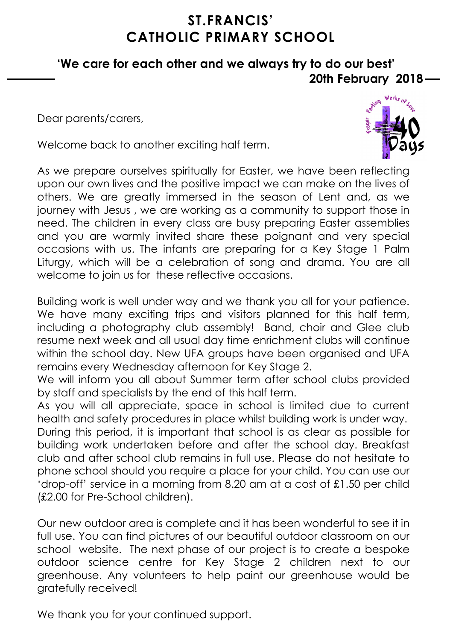## **ST.FRANCIS' CATHOLIC PRIMARY SCHOOL**

### **'We care for each other and we always try to do our best' 20th February 2018**

Dear parents/carers,

Welcome back to another exciting half term.



As we prepare ourselves spiritually for Easter, we have been reflecting upon our own lives and the positive impact we can make on the lives of others. We are greatly immersed in the season of Lent and, as we journey with Jesus , we are working as a community to support those in need. The children in every class are busy preparing Easter assemblies and you are warmly invited share these poignant and very special occasions with us. The infants are preparing for a Key Stage 1 Palm Liturgy, which will be a celebration of song and drama. You are all welcome to join us for these reflective occasions.

Building work is well under way and we thank you all for your patience. We have many exciting trips and visitors planned for this half term, including a photography club assembly! Band, choir and Glee club resume next week and all usual day time enrichment clubs will continue within the school day. New UFA groups have been organised and UFA remains every Wednesday afternoon for Key Stage 2.

We will inform you all about Summer term after school clubs provided by staff and specialists by the end of this half term.

As you will all appreciate, space in school is limited due to current health and safety procedures in place whilst building work is under way. During this period, it is important that school is as clear as possible for building work undertaken before and after the school day. Breakfast club and after school club remains in full use. Please do not hesitate to phone school should you require a place for your child. You can use our 'drop-off' service in a morning from 8.20 am at a cost of £1.50 per child (£2.00 for Pre-School children).

Our new outdoor area is complete and it has been wonderful to see it in full use. You can find pictures of our beautiful outdoor classroom on our school website. The next phase of our project is to create a bespoke outdoor science centre for Key Stage 2 children next to our greenhouse. Any volunteers to help paint our greenhouse would be gratefully received!

We thank you for your continued support.